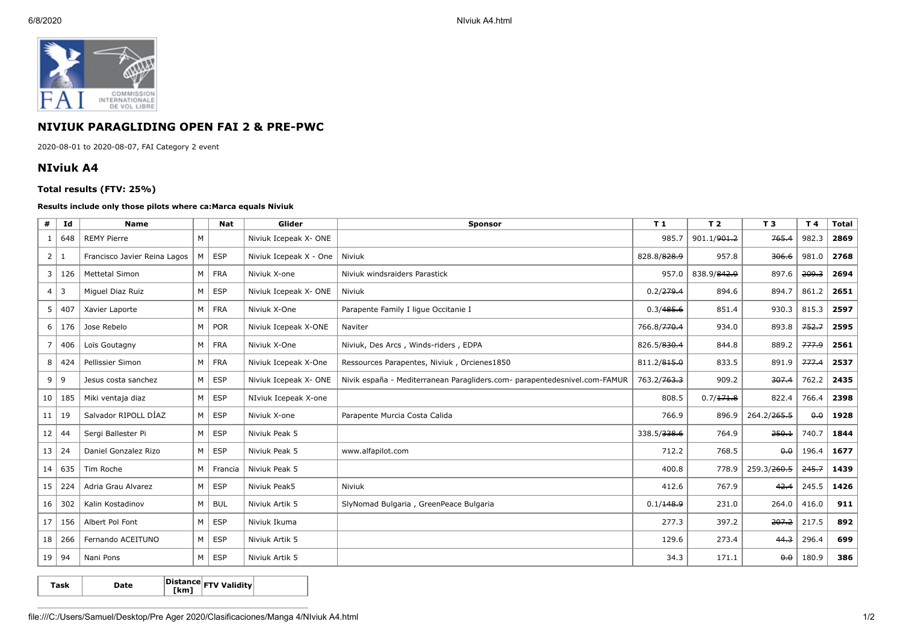

## **NIVIUK PARAGLIDING OPEN FAI 2 & PRE-PWC**

2020-08-01 to 2020-08-07, FAI Category 2 event

## **NIviuk A4**

## **Total results (FTV: 25%)**

## **Results include only those pilots where ca:Marca equals Niviuk**

| #              | Id                      | <b>Name</b>                  |                | <b>Nat</b>    | Glider                 | <b>Sponsor</b>                                                            | T <sub>1</sub> | T <sub>2</sub> | T <sub>3</sub>          | T 4   | <b>Total</b> |
|----------------|-------------------------|------------------------------|----------------|---------------|------------------------|---------------------------------------------------------------------------|----------------|----------------|-------------------------|-------|--------------|
|                | 648                     | <b>REMY Pierre</b>           | M              |               | Niviuk Icepeak X- ONE  |                                                                           | 985.7          | 901.1/901.2    | 765.4                   | 982.3 | 2869         |
| $\overline{2}$ | 1                       | Francisco Javier Reina Lagos | M              | <b>ESP</b>    | Niviuk Icepeak X - One | Niviuk                                                                    | 828.8/828.9    | 957.8          | 306.6                   | 981.0 | 2768         |
| 3              | 126                     | <b>Mettetal Simon</b>        |                | M FRA         | Niviuk X-one           | Niviuk windsraiders Parastick                                             | 957.0          | 838.9/842.9    | 897.6                   | 209.3 | 2694         |
| $\overline{4}$ | $\overline{\mathbf{3}}$ | Miquel Diaz Ruiz             | M <sub>1</sub> | <b>ESP</b>    | Niviuk Icepeak X- ONE  | Niviuk                                                                    | 0.2/279.4      | 894.6          | 894.7                   | 861.2 | 2651         |
| 5              | 407                     | Xavier Laporte               |                | M   FRA       | Niviuk X-One           | Parapente Family I lique Occitanie I                                      | 0.3/485.6      | 851.4          | 930.3                   | 815.3 | 2597         |
| 6              | 176                     | Jose Rebelo                  | M <sub>1</sub> | POR           | Niviuk Icepeak X-ONE   | Naviter                                                                   | 766.8/770.4    | 934.0          | 893.8                   | 752.7 | 2595         |
| $\overline{7}$ | 406                     | Loïs Goutagny                |                | M FRA         | Niviuk X-One           | Niviuk, Des Arcs, Winds-riders, EDPA                                      | 826.5/830.4    | 844.8          | 889.2                   | 777.9 | 2561         |
| 8              | 424                     | Pellissier Simon             | $M \mid$       | FRA           | Niviuk Icepeak X-One   | Ressources Parapentes, Niviuk, Orcienes1850                               | 811.2/815.0    | 833.5          | 891.9                   | 777.4 | 2537         |
| 9              | 9                       | Jesus costa sanchez          | M <sub>1</sub> | ESP           | Niviuk Icepeak X- ONE  | Nivik españa - Mediterranean Paragliders.com- parapentedesnivel.com-FAMUR | 763.2/763.3    | 909.2          | 307.4                   | 762.2 | 2435         |
| 10             | 185                     | Miki ventaja diaz            | M <sub>1</sub> | ESP           | NIviuk Icepeak X-one   |                                                                           | 808.5          | 0.7/171.8      | 822.4                   | 766.4 | 2398         |
| 11             | 19                      | Salvador RIPOLL DÍAZ         |                | $M \vert$ ESP | Niviuk X-one           | Parapente Murcia Costa Calida                                             | 766.9          | 896.9          | 264.2/ <del>265.5</del> | 0.0   | 1928         |
| 12             | 44                      | Sergi Ballester Pi           |                | $M \vert$ ESP | Niviuk Peak 5          |                                                                           | 338.5/338.6    | 764.9          | 250.1                   | 740.7 | 1844         |
| 13             | 24                      | Daniel Gonzalez Rizo         | M              | ESP           | Niviuk Peak 5          | www.alfapilot.com                                                         | 712.2          | 768.5          | 0.0                     | 196.4 | 1677         |
| 14             | 635                     | Tim Roche                    |                | M   Francia   | Niviuk Peak 5          |                                                                           | 400.8          | 778.9          | 259.3/260.5             | 245.7 | 1439         |
| 15             | 224                     | Adria Grau Alvarez           | M <sub>1</sub> | ESP           | Niviuk Peak5           | Niviuk                                                                    | 412.6          | 767.9          | 42.4                    | 245.5 | 1426         |
| 16             | 302                     | Kalin Kostadinov             | M <sub>1</sub> | <b>BUL</b>    | Niviuk Artik 5         | SlyNomad Bulgaria, GreenPeace Bulgaria                                    | 0.1/148.9      | 231.0          | 264.0                   | 416.0 | 911          |
| 17             | 156                     | Albert Pol Font              | $M \mid$       | ESP           | Niviuk Ikuma           |                                                                           | 277.3          | 397.2          | 207.2                   | 217.5 | 892          |
| 18             | 266                     | Fernando ACEITUNO            | $M \mid$       | ESP           | Niviuk Artik 5         |                                                                           | 129.6          | 273.4          | 44.3                    | 296.4 | 699          |
| 19             | 94                      | Nani Pons                    | M <sub>1</sub> | ESP           | Niviuk Artik 5         |                                                                           | 34.3           | 171.1          | $\theta$ $\theta$       | 180.9 | 386          |

**Task Date Distance [km] FTV Validity**